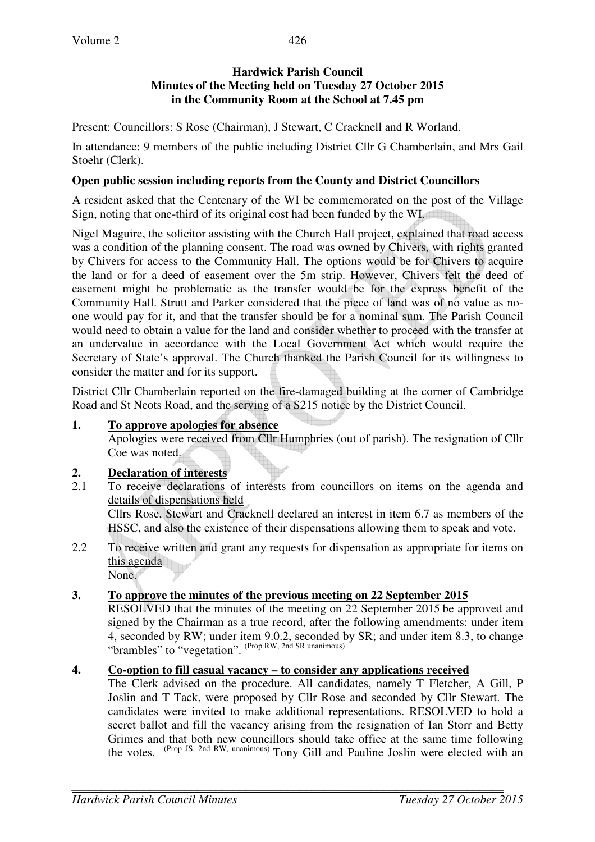Present: Councillors: S Rose (Chairman), J Stewart, C Cracknell and R Worland.

In attendance: 9 members of the public including District Cllr G Chamberlain, and Mrs Gail Stoehr (Clerk).

### **Open public session including reports from the County and District Councillors**

A resident asked that the Centenary of the WI be commemorated on the post of the Village Sign, noting that one-third of its original cost had been funded by the WI.

Nigel Maguire, the solicitor assisting with the Church Hall project, explained that road access was a condition of the planning consent. The road was owned by Chivers, with rights granted by Chivers for access to the Community Hall. The options would be for Chivers to acquire the land or for a deed of easement over the 5m strip. However, Chivers felt the deed of easement might be problematic as the transfer would be for the express benefit of the Community Hall. Strutt and Parker considered that the piece of land was of no value as noone would pay for it, and that the transfer should be for a nominal sum. The Parish Council would need to obtain a value for the land and consider whether to proceed with the transfer at an undervalue in accordance with the Local Government Act which would require the Secretary of State's approval. The Church thanked the Parish Council for its willingness to consider the matter and for its support.

District Cllr Chamberlain reported on the fire-damaged building at the corner of Cambridge Road and St Neots Road, and the serving of a S215 notice by the District Council.

## **1. To approve apologies for absence**

Apologies were received from Cllr Humphries (out of parish). The resignation of Cllr Coe was noted.

## **2. Declaration of interests**

- 2.1 To receive declarations of interests from councillors on items on the agenda and details of dispensations held Cllrs Rose, Stewart and Cracknell declared an interest in item 6.7 as members of the HSSC, and also the existence of their dispensations allowing them to speak and vote.
- 2.2 To receive written and grant any requests for dispensation as appropriate for items on this agenda

None.

# **3. To approve the minutes of the previous meeting on 22 September 2015**

RESOLVED that the minutes of the meeting on 22 September 2015 be approved and signed by the Chairman as a true record, after the following amendments: under item 4, seconded by RW; under item 9.0.2, seconded by SR; and under item 8.3, to change "brambles" to "vegetation". (Prop RW, 2nd SR unanimous)

## **4. Co-option to fill casual vacancy – to consider any applications received**

The Clerk advised on the procedure. All candidates, namely T Fletcher, A Gill, P Joslin and T Tack, were proposed by Cllr Rose and seconded by Cllr Stewart. The candidates were invited to make additional representations. RESOLVED to hold a secret ballot and fill the vacancy arising from the resignation of Ian Storr and Betty Grimes and that both new councillors should take office at the same time following the votes. (Prop JS, 2nd RW, unanimous) Tony Gill and Pauline Joslin were elected with an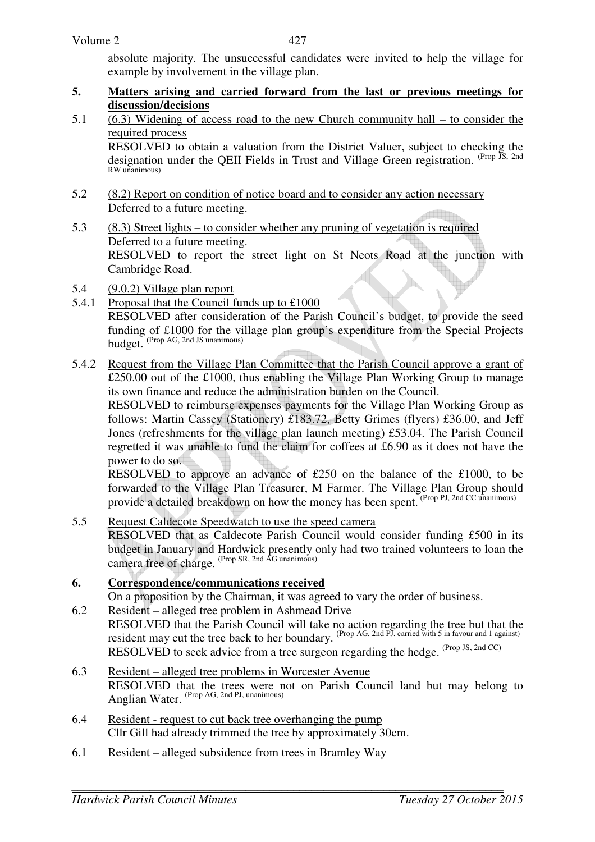absolute majority. The unsuccessful candidates were invited to help the village for example by involvement in the village plan.

- **5. Matters arising and carried forward from the last or previous meetings for discussion/decisions**
- 5.1 (6.3) Widening of access road to the new Church community hall to consider the required process

RESOLVED to obtain a valuation from the District Valuer, subject to checking the designation under the QEII Fields in Trust and Village Green registration. <sup>(Prop JS, 2nd</sup>) RW unanimous)

- 5.2 (8.2) Report on condition of notice board and to consider any action necessary Deferred to a future meeting.
- 5.3 (8.3) Street lights to consider whether any pruning of vegetation is required Deferred to a future meeting. RESOLVED to report the street light on St Neots Road at the junction with Cambridge Road.
- 5.4 (9.0.2) Village plan report
- 5.4.1 Proposal that the Council funds up to £1000 RESOLVED after consideration of the Parish Council's budget, to provide the seed funding of £1000 for the village plan group's expenditure from the Special Projects  $\frac{1}{\sqrt{P}}$  (Prop AG, 2nd JS unanimous)
- 5.4.2 Request from the Village Plan Committee that the Parish Council approve a grant of £250.00 out of the £1000, thus enabling the Village Plan Working Group to manage its own finance and reduce the administration burden on the Council.

RESOLVED to reimburse expenses payments for the Village Plan Working Group as follows: Martin Cassey (Stationery) £183.72, Betty Grimes (flyers) £36.00, and Jeff Jones (refreshments for the village plan launch meeting) £53.04. The Parish Council regretted it was unable to fund the claim for coffees at £6.90 as it does not have the power to do so.

RESOLVED to approve an advance of £250 on the balance of the £1000, to be forwarded to the Village Plan Treasurer, M Farmer. The Village Plan Group should provide a detailed breakdown on how the money has been spent. (Prop PJ, 2nd CC unanimous)

5.5 Request Caldecote Speedwatch to use the speed camera RESOLVED that as Caldecote Parish Council would consider funding £500 in its budget in January and Hardwick presently only had two trained volunteers to loan the camera free of charge. (Prop SR, 2nd AG unanimous)

## **6. Correspondence/communications received**

On a proposition by the Chairman, it was agreed to vary the order of business.

- 6.2 Resident alleged tree problem in Ashmead Drive RESOLVED that the Parish Council will take no action regarding the tree but that the resident may cut the tree back to her boundary. <sup>(Prop AG, 2nd PJ, carried with 5 in favour and 1 against)</sup> RESOLVED to seek advice from a tree surgeon regarding the hedge. (Prop JS, 2nd CC)
- 6.3 Resident alleged tree problems in Worcester Avenue RESOLVED that the trees were not on Parish Council land but may belong to Anglian Water. (Prop AG, 2nd PJ, unanimous)
- 6.4 Resident request to cut back tree overhanging the pump Cllr Gill had already trimmed the tree by approximately 30cm.
- 6.1 Resident alleged subsidence from trees in Bramley Way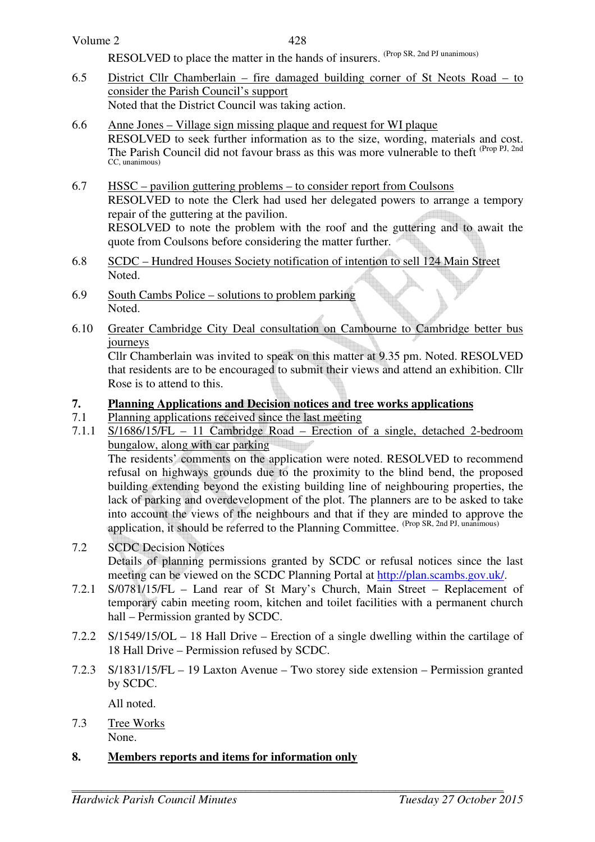| Volume 2 |  |
|----------|--|
|----------|--|

428

RESOLVED to place the matter in the hands of insurers. (Prop SR, 2nd PJ unanimous)

- 6.5 District Cllr Chamberlain fire damaged building corner of St Neots Road to consider the Parish Council's support Noted that the District Council was taking action.
- 6.6 Anne Jones Village sign missing plaque and request for WI plaque RESOLVED to seek further information as to the size, wording, materials and cost. The Parish Council did not favour brass as this was more vulnerable to theft <sup>(Prop PJ, 2nd</sup>) CC, unanimous)
- 6.7 HSSC pavilion guttering problems to consider report from Coulsons RESOLVED to note the Clerk had used her delegated powers to arrange a tempory repair of the guttering at the pavilion. RESOLVED to note the problem with the roof and the guttering and to await the quote from Coulsons before considering the matter further.
- 6.8 SCDC Hundred Houses Society notification of intention to sell 124 Main Street Noted.
- 6.9 South Cambs Police solutions to problem parking Noted.
- 6.10 Greater Cambridge City Deal consultation on Cambourne to Cambridge better bus journeys

 Cllr Chamberlain was invited to speak on this matter at 9.35 pm. Noted. RESOLVED that residents are to be encouraged to submit their views and attend an exhibition. Cllr Rose is to attend to this.

# **7. Planning Applications and Decision notices and tree works applications**

- 7.1 Planning applications received since the last meeting
- 7.1.1 S/1686/15/FL 11 Cambridge Road Erection of a single, detached 2-bedroom bungalow, along with car parking

 The residents' comments on the application were noted. RESOLVED to recommend refusal on highways grounds due to the proximity to the blind bend, the proposed building extending beyond the existing building line of neighbouring properties, the lack of parking and overdevelopment of the plot. The planners are to be asked to take into account the views of the neighbours and that if they are minded to approve the application, it should be referred to the Planning Committee. (Prop SR, 2nd PJ, unanimous)

- 7.2 SCDC Decision Notices Details of planning permissions granted by SCDC or refusal notices since the last meeting can be viewed on the SCDC Planning Portal at http://plan.scambs.gov.uk/.
- 7.2.1 S/0781/15/FL Land rear of St Mary's Church, Main Street Replacement of temporary cabin meeting room, kitchen and toilet facilities with a permanent church hall – Permission granted by SCDC.
- 7.2.2 S/1549/15/OL 18 Hall Drive Erection of a single dwelling within the cartilage of 18 Hall Drive – Permission refused by SCDC.
- 7.2.3 S/1831/15/FL 19 Laxton Avenue Two storey side extension Permission granted by SCDC.

All noted.

7.3 Tree Works None.

### **8. Members reports and items for information only**